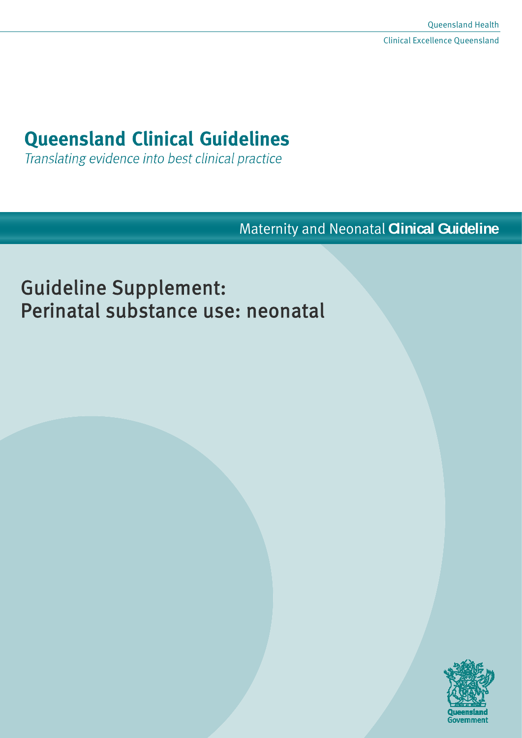# **Queensland Clinical Guidelines**

Translating evidence into best clinical practice

Maternity and Neonatal **Clinical Guideline**

# Guideline Supplement: Perinatal substance use: neonatal

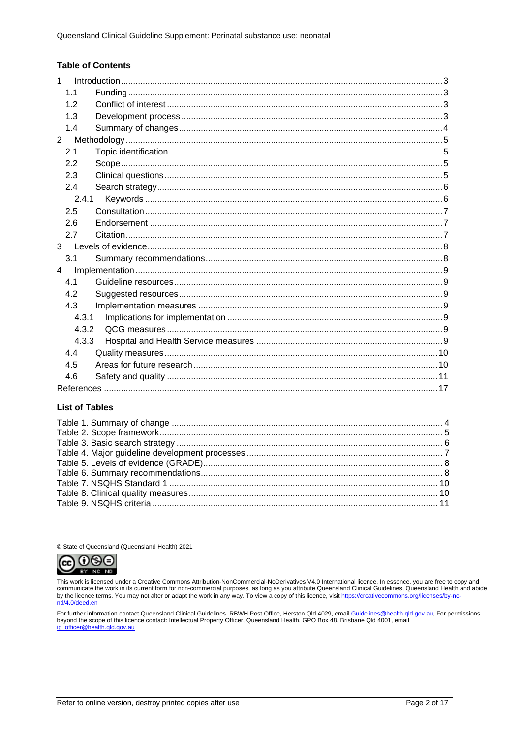#### **Table of Contents**

| $\mathbf{1}$   |                |  |
|----------------|----------------|--|
|                | 1.1            |  |
|                | 1.2            |  |
|                | 1.3            |  |
|                | 1.4            |  |
|                | $\overline{2}$ |  |
|                | 2.1            |  |
|                | 2.2            |  |
|                | 2.3            |  |
|                | 2.4            |  |
|                | 2.4.1          |  |
|                | 2.5            |  |
|                | 2.6            |  |
|                | 2.7            |  |
|                | 3 <sup>1</sup> |  |
|                | 3.1            |  |
| $\overline{4}$ |                |  |
|                | 4.1            |  |
|                | 4.2            |  |
|                | 4.3            |  |
|                | 4.3.1          |  |
|                | 4.3.2          |  |
|                | 4.3.3          |  |
|                | 4.4            |  |
|                | 4.5            |  |
|                | 4.6            |  |
|                |                |  |

#### **List of Tables**

© State of Queensland (Queensland Health) 2021



This work is licensed under a Creative Commons Attribution-NonCommercial-NoDerivatives V4.0 International licence. In essence, you are free to copy and on the licence terms. You may not alter or adapt the work in any way. To view a copy of this licence, visit https://creativecommons.org/licenses/by-no-<br>communicate the work in its current form for non-commercial purposes,

For further information contact Queensland Clinical Guidelines, RBWH Post Office, Herston Qld 4029, email <u>Guidelines@health.qld.gov.au,</u> For permissions<br>beyond the scope of this licence contact: Intellectual Property Offi ip\_officer@health.gld.gov.au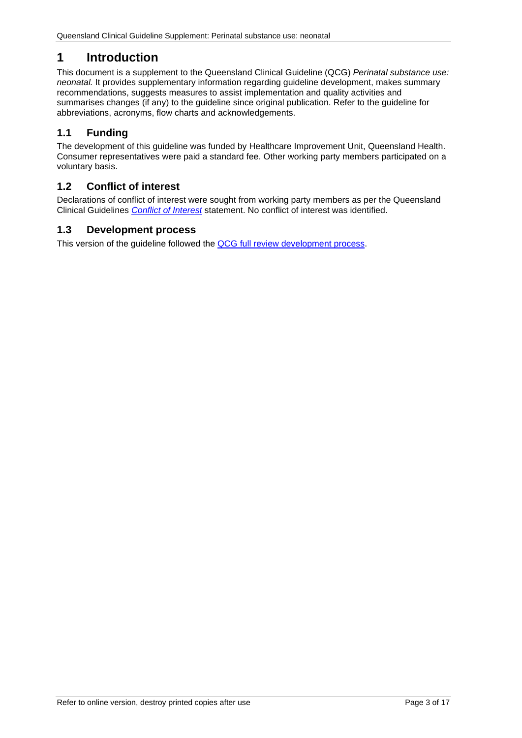# <span id="page-2-0"></span>**1 Introduction**

This document is a supplement to the Queensland Clinical Guideline (QCG) *Perinatal substance use: neonatal.* It provides supplementary information regarding guideline development, makes summary recommendations, suggests measures to assist implementation and quality activities and summarises changes (if any) to the guideline since original publication. Refer to the guideline for abbreviations, acronyms, flow charts and acknowledgements.

## <span id="page-2-1"></span>**1.1 Funding**

The development of this guideline was funded by Healthcare Improvement Unit, Queensland Health. Consumer representatives were paid a standard fee. Other working party members participated on a voluntary basis.

## <span id="page-2-2"></span>**1.2 Conflict of interest**

Declarations of conflict of interest were sought from working party members as per the Queensland Clinical Guidelines *[Conflict of Interest](http://www.health.qld.gov.au/qcg/development#coi)* statement. No conflict of interest was identified.

## <span id="page-2-3"></span>**1.3 Development process**

This version of the guideline followed the [QCG full review development process.](https://www.health.qld.gov.au/__data/assets/pdf_file/0025/364723/o-developprocess.pdf)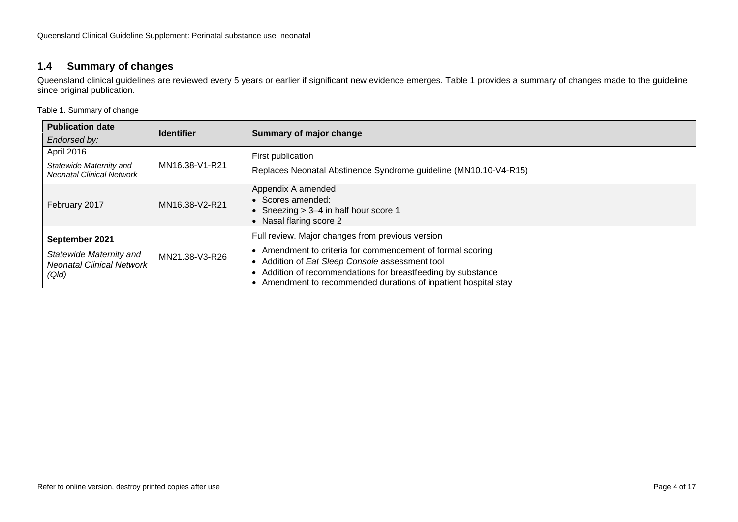## **1.4 Summary of changes**

Queensland clinical guidelines are reviewed every 5 years or earlier if significant new evidence emerges. [Table 1](#page-3-2) provides a summary of changes made to the guideline since original publication.

<span id="page-3-2"></span>Table 1. Summary of change

<span id="page-3-1"></span><span id="page-3-0"></span>

| <b>Publication date</b><br>Endorsed by:                                                     | <b>Identifier</b> | Summary of major change                                                                                                                                                                                                                                                                      |  |
|---------------------------------------------------------------------------------------------|-------------------|----------------------------------------------------------------------------------------------------------------------------------------------------------------------------------------------------------------------------------------------------------------------------------------------|--|
| April 2016<br>MN16.38-V1-R21<br>Statewide Maternity and<br><b>Neonatal Clinical Network</b> |                   | First publication<br>Replaces Neonatal Abstinence Syndrome guideline (MN10.10-V4-R15)                                                                                                                                                                                                        |  |
| February 2017                                                                               | MN16.38-V2-R21    | Appendix A amended<br>Scores amended:<br>Sneezing > 3-4 in half hour score 1<br>Nasal flaring score 2                                                                                                                                                                                        |  |
| September 2021<br>Statewide Maternity and<br><b>Neonatal Clinical Network</b><br>(Q/d)      | MN21.38-V3-R26    | Full review. Major changes from previous version<br>Amendment to criteria for commencement of formal scoring<br>Addition of Eat Sleep Console assessment tool<br>Addition of recommendations for breastfeeding by substance<br>Amendment to recommended durations of inpatient hospital stay |  |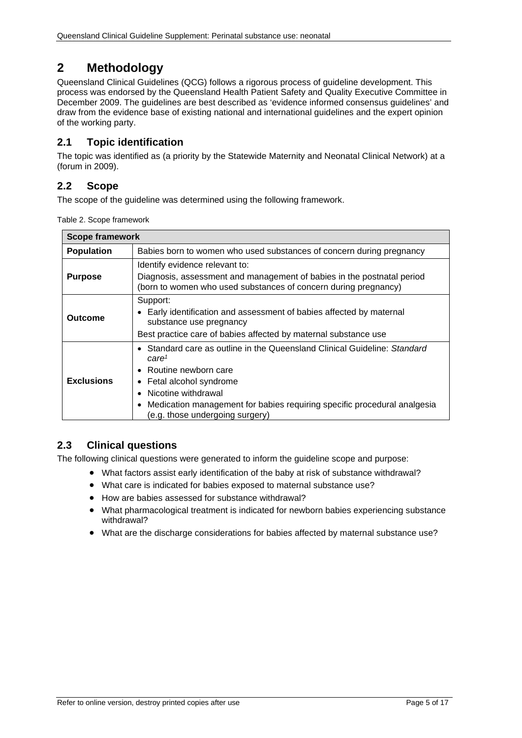# <span id="page-4-0"></span>**2 Methodology**

Queensland Clinical Guidelines (QCG) follows a rigorous process of guideline development. This process was endorsed by the Queensland Health Patient Safety and Quality Executive Committee in December 2009. The guidelines are best described as 'evidence informed consensus guidelines' and draw from the evidence base of existing national and international guidelines and the expert opinion of the working party.

## <span id="page-4-1"></span>**2.1 Topic identification**

The topic was identified as (a priority by the Statewide Maternity and Neonatal Clinical Network) at a (forum in 2009).

## <span id="page-4-2"></span>**2.2 Scope**

<span id="page-4-4"></span>The scope of the guideline was determined using the following framework.

|  | Table 2. Scope framework |
|--|--------------------------|
|--|--------------------------|

| <b>Scope framework</b>                                                                                                                                                                                                                                                                                                  |                                                                                                                                                                              |  |  |  |
|-------------------------------------------------------------------------------------------------------------------------------------------------------------------------------------------------------------------------------------------------------------------------------------------------------------------------|------------------------------------------------------------------------------------------------------------------------------------------------------------------------------|--|--|--|
| <b>Population</b>                                                                                                                                                                                                                                                                                                       | Babies born to women who used substances of concern during pregnancy                                                                                                         |  |  |  |
| <b>Purpose</b>                                                                                                                                                                                                                                                                                                          | Identify evidence relevant to:<br>Diagnosis, assessment and management of babies in the postnatal period<br>(born to women who used substances of concern during pregnancy)  |  |  |  |
| Outcome                                                                                                                                                                                                                                                                                                                 | Support:<br>Early identification and assessment of babies affected by maternal<br>substance use pregnancy<br>Best practice care of babies affected by maternal substance use |  |  |  |
| • Standard care as outline in the Queensland Clinical Guideline: Standard<br>care <sup>1</sup><br>$\bullet$ Routine newborn care<br><b>Exclusions</b><br>Fetal alcohol syndrome<br>Nicotine withdrawal<br>• Medication management for babies requiring specific procedural analgesia<br>(e.g. those undergoing surgery) |                                                                                                                                                                              |  |  |  |

## <span id="page-4-3"></span>**2.3 Clinical questions**

The following clinical questions were generated to inform the guideline scope and purpose:

- What factors assist early identification of the baby at risk of substance withdrawal?
- What care is indicated for babies exposed to maternal substance use?
- How are babies assessed for substance withdrawal?
- What pharmacological treatment is indicated for newborn babies experiencing substance withdrawal?
- What are the discharge considerations for babies affected by maternal substance use?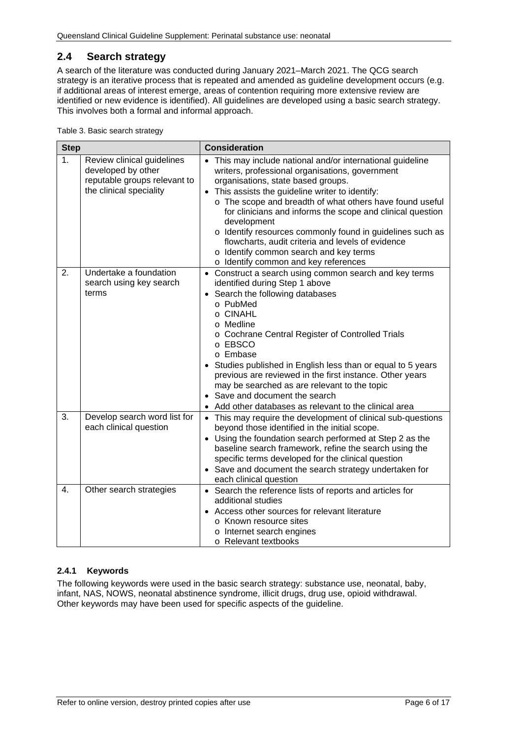## <span id="page-5-0"></span>**2.4 Search strategy**

A search of the literature was conducted during January 2021–March 2021. The QCG search strategy is an iterative process that is repeated and amended as guideline development occurs (e.g. if additional areas of interest emerge, areas of contention requiring more extensive review are identified or new evidence is identified). All guidelines are developed using a basic search strategy. This involves both a formal and informal approach.

<span id="page-5-2"></span>Table 3. Basic search strategy

| <b>Step</b>                                                                                                       |                                                            | <b>Consideration</b>                                                                                                                                                                                                                                                                                                                                                                                                                                                                                                                                            |  |
|-------------------------------------------------------------------------------------------------------------------|------------------------------------------------------------|-----------------------------------------------------------------------------------------------------------------------------------------------------------------------------------------------------------------------------------------------------------------------------------------------------------------------------------------------------------------------------------------------------------------------------------------------------------------------------------------------------------------------------------------------------------------|--|
| 1.<br>Review clinical guidelines<br>developed by other<br>reputable groups relevant to<br>the clinical speciality |                                                            | • This may include national and/or international guideline<br>writers, professional organisations, government<br>organisations, state based groups.<br>This assists the guideline writer to identify:<br>$\bullet$<br>o The scope and breadth of what others have found useful<br>for clinicians and informs the scope and clinical question<br>development<br>o Identify resources commonly found in guidelines such as<br>flowcharts, audit criteria and levels of evidence<br>o Identify common search and key terms<br>o Identify common and key references |  |
| 2.                                                                                                                | Undertake a foundation<br>search using key search<br>terms | • Construct a search using common search and key terms<br>identified during Step 1 above<br>Search the following databases<br>$\bullet$<br>o PubMed<br>o CINAHL<br>o Medline<br>o Cochrane Central Register of Controlled Trials<br>o EBSCO<br>o Embase<br>Studies published in English less than or equal to 5 years<br>previous are reviewed in the first instance. Other years<br>may be searched as are relevant to the topic<br>• Save and document the search<br>Add other databases as relevant to the clinical area                                     |  |
| 3.                                                                                                                | Develop search word list for<br>each clinical question     | • This may require the development of clinical sub-questions<br>beyond those identified in the initial scope.<br>• Using the foundation search performed at Step 2 as the<br>baseline search framework, refine the search using the<br>specific terms developed for the clinical question<br>• Save and document the search strategy undertaken for<br>each clinical question                                                                                                                                                                                   |  |
| 4.                                                                                                                | Other search strategies                                    | • Search the reference lists of reports and articles for<br>additional studies<br>Access other sources for relevant literature<br>o Known resource sites<br>o Internet search engines<br>o Relevant textbooks                                                                                                                                                                                                                                                                                                                                                   |  |

#### <span id="page-5-1"></span>**2.4.1 Keywords**

The following keywords were used in the basic search strategy: substance use, neonatal, baby, infant, NAS, NOWS, neonatal abstinence syndrome, illicit drugs, drug use, opioid withdrawal. Other keywords may have been used for specific aspects of the guideline.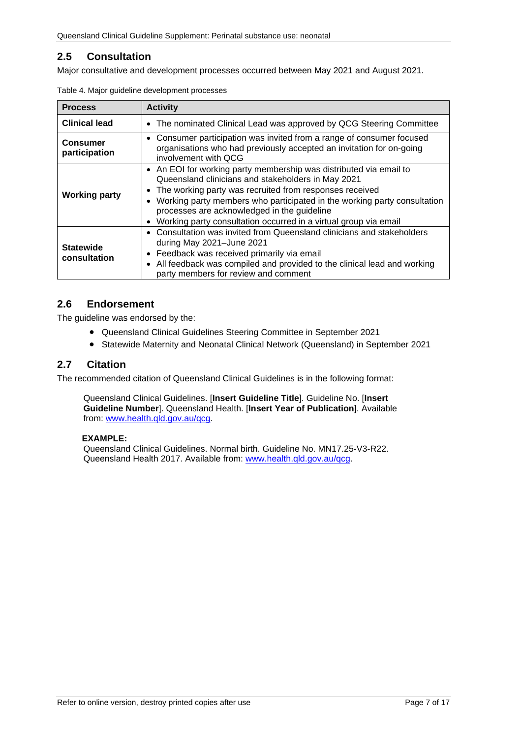## <span id="page-6-0"></span>**2.5 Consultation**

<span id="page-6-3"></span>Major consultative and development processes occurred between May 2021 and August 2021.

| <b>Process</b>                   | <b>Activity</b>                                                                                                                                                                                                                                                                                                                                                                                                   |  |  |
|----------------------------------|-------------------------------------------------------------------------------------------------------------------------------------------------------------------------------------------------------------------------------------------------------------------------------------------------------------------------------------------------------------------------------------------------------------------|--|--|
| <b>Clinical lead</b>             | The nominated Clinical Lead was approved by QCG Steering Committee<br>$\bullet$                                                                                                                                                                                                                                                                                                                                   |  |  |
| <b>Consumer</b><br>participation | • Consumer participation was invited from a range of consumer focused<br>organisations who had previously accepted an invitation for on-going<br>involvement with QCG                                                                                                                                                                                                                                             |  |  |
| <b>Working party</b>             | • An EOI for working party membership was distributed via email to<br>Queensland clinicians and stakeholders in May 2021<br>The working party was recruited from responses received<br>٠<br>Working party members who participated in the working party consultation<br>$\bullet$<br>processes are acknowledged in the guideline<br>Working party consultation occurred in a virtual group via email<br>$\bullet$ |  |  |
| <b>Statewide</b><br>consultation | Consultation was invited from Queensland clinicians and stakeholders<br>$\bullet$<br>during May 2021-June 2021<br>Feedback was received primarily via email<br>$\bullet$<br>All feedback was compiled and provided to the clinical lead and working<br>$\bullet$<br>party members for review and comment                                                                                                          |  |  |

|  | Table 4. Major guideline development processes |  |
|--|------------------------------------------------|--|
|  |                                                |  |

## <span id="page-6-1"></span>**2.6 Endorsement**

The guideline was endorsed by the:

- Queensland Clinical Guidelines Steering Committee in September 2021
- Statewide Maternity and Neonatal Clinical Network (Queensland) in September 2021

#### <span id="page-6-2"></span>**2.7 Citation**

The recommended citation of Queensland Clinical Guidelines is in the following format:

Queensland Clinical Guidelines. [**Insert Guideline Title**]. Guideline No. [**Insert Guideline Number**]. Queensland Health. [**Insert Year of Publication**]. Available from: [www.health.qld.gov.au/qcg.](http://www.health.qld.gov.au/qcg)

#### **EXAMPLE:**

Queensland Clinical Guidelines. Normal birth. Guideline No. MN17.25-V3-R22. Queensland Health 2017. Available from: [www.health.qld.gov.au/qcg.](http://www.health.qld.gov.au/qcg)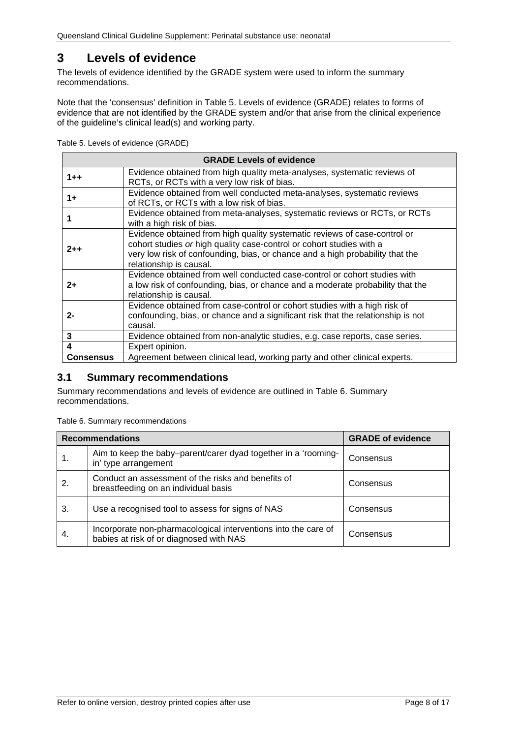## <span id="page-7-0"></span>**3 Levels of evidence**

The levels of evidence identified by the GRADE system were used to inform the summary recommendations.

Note that the 'consensus' definition in [Table 5. Levels of evidence \(GRADE\)](#page-7-2) relates to forms of evidence that are not identified by the GRADE system and/or that arise from the clinical experience of the guideline's clinical lead(s) and working party.

<span id="page-7-2"></span>Table 5. Levels of evidence (GRADE)

| <b>GRADE Levels of evidence</b>                                                                        |                                                                                                                                                                                                                                                               |  |  |
|--------------------------------------------------------------------------------------------------------|---------------------------------------------------------------------------------------------------------------------------------------------------------------------------------------------------------------------------------------------------------------|--|--|
| $1 + +$                                                                                                | Evidence obtained from high quality meta-analyses, systematic reviews of<br>RCTs, or RCTs with a very low risk of bias.                                                                                                                                       |  |  |
| $1+$                                                                                                   | Evidence obtained from well conducted meta-analyses, systematic reviews<br>of RCTs, or RCTs with a low risk of bias.                                                                                                                                          |  |  |
| Evidence obtained from meta-analyses, systematic reviews or RCTs, or RCTs<br>with a high risk of bias. |                                                                                                                                                                                                                                                               |  |  |
| $2 + +$                                                                                                | Evidence obtained from high quality systematic reviews of case-control or<br>cohort studies or high quality case-control or cohort studies with a<br>very low risk of confounding, bias, or chance and a high probability that the<br>relationship is causal. |  |  |
| $2+$                                                                                                   | Evidence obtained from well conducted case-control or cohort studies with<br>a low risk of confounding, bias, or chance and a moderate probability that the<br>relationship is causal.                                                                        |  |  |
| $2 -$                                                                                                  | Evidence obtained from case-control or cohort studies with a high risk of<br>confounding, bias, or chance and a significant risk that the relationship is not<br>causal.                                                                                      |  |  |
| 3                                                                                                      | Evidence obtained from non-analytic studies, e.g. case reports, case series.                                                                                                                                                                                  |  |  |
| 4                                                                                                      | Expert opinion.                                                                                                                                                                                                                                               |  |  |
| <b>Consensus</b>                                                                                       | Agreement between clinical lead, working party and other clinical experts.                                                                                                                                                                                    |  |  |

#### <span id="page-7-1"></span>**3.1 Summary recommendations**

Summary recommendations and levels of evidence are outlined in Table 6. [Summary](#page-7-3)  [recommendations.](#page-7-3)

<span id="page-7-3"></span>Table 6. Summary recommendations

|    | <b>Recommendations</b>                                                                                    | <b>GRADE of evidence</b> |
|----|-----------------------------------------------------------------------------------------------------------|--------------------------|
|    | Aim to keep the baby-parent/carer dyad together in a 'rooming-<br>in' type arrangement                    | Consensus                |
| 2. | Conduct an assessment of the risks and benefits of<br>breastfeeding on an individual basis                | Consensus                |
| 3. | Use a recognised tool to assess for signs of NAS                                                          | Consensus                |
| 4. | Incorporate non-pharmacological interventions into the care of<br>babies at risk of or diagnosed with NAS | Consensus                |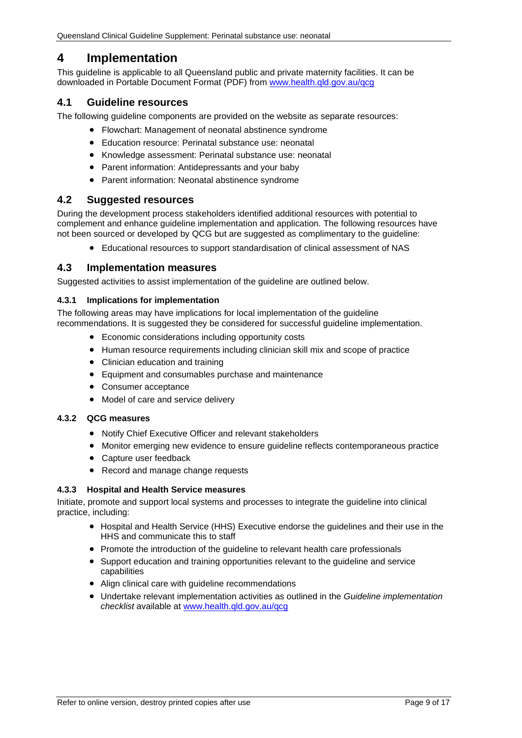## <span id="page-8-0"></span>**4 Implementation**

This guideline is applicable to all Queensland public and private maternity facilities. It can be downloaded in Portable Document Format (PDF) from [www.health.qld.gov.au/qcg](http://www.health.qld.gov.au/qcg)

#### <span id="page-8-1"></span>**4.1 Guideline resources**

The following guideline components are provided on the website as separate resources:

- Flowchart: Management of neonatal abstinence syndrome
- Education resource: Perinatal substance use: neonatal
- Knowledge assessment: Perinatal substance use: neonatal
- Parent information: Antidepressants and your baby
- Parent information: Neonatal abstinence syndrome

#### <span id="page-8-2"></span>**4.2 Suggested resources**

During the development process stakeholders identified additional resources with potential to complement and enhance guideline implementation and application. The following resources have not been sourced or developed by QCG but are suggested as complimentary to the guideline:

• Educational resources to support standardisation of clinical assessment of NAS

#### <span id="page-8-3"></span>**4.3 Implementation measures**

Suggested activities to assist implementation of the guideline are outlined below.

#### <span id="page-8-4"></span>**4.3.1 Implications for implementation**

The following areas may have implications for local implementation of the guideline recommendations. It is suggested they be considered for successful quideline implementation.

- Economic considerations including opportunity costs
- Human resource requirements including clinician skill mix and scope of practice
- Clinician education and training
- Equipment and consumables purchase and maintenance
- Consumer acceptance
- Model of care and service delivery

#### <span id="page-8-5"></span>**4.3.2 QCG measures**

- Notify Chief Executive Officer and relevant stakeholders
- Monitor emerging new evidence to ensure guideline reflects contemporaneous practice
- Capture user feedback
- Record and manage change requests

#### <span id="page-8-6"></span>**4.3.3 Hospital and Health Service measures**

Initiate, promote and support local systems and processes to integrate the guideline into clinical practice, including:

- Hospital and Health Service (HHS) Executive endorse the guidelines and their use in the HHS and communicate this to staff
- Promote the introduction of the guideline to relevant health care professionals
- Support education and training opportunities relevant to the guideline and service capabilities
- Align clinical care with guideline recommendations
- Undertake relevant implementation activities as outlined in the *Guideline implementation checklist* available at [www.health.qld.gov.au/qcg](http://www.health.qld.gov.au/qcg)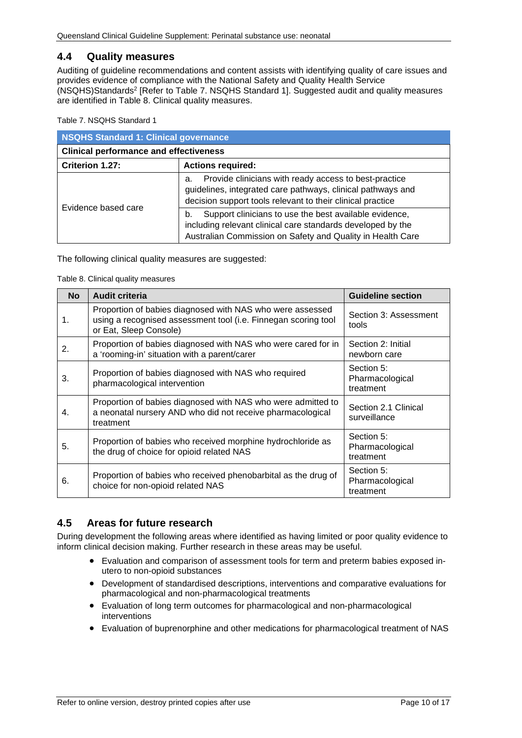#### <span id="page-9-0"></span>**4.4 Quality measures**

Auditing of guideline recommendations and content assists with identifying quality of care issues and provides evidence of compliance with the National Safety and Quality Health Service (NSQHS)Standards2 [Refer to Table 7. [NSQHS Standard 1\]](#page-9-2). Suggested audit and quality measures are identified in [Table 8. Clinical quality measures.](#page-9-3)

<span id="page-9-2"></span>Table 7. NSQHS Standard 1

| NSQHS Standard 1: Clinical governance         |                                                                                                                                                                                           |  |  |
|-----------------------------------------------|-------------------------------------------------------------------------------------------------------------------------------------------------------------------------------------------|--|--|
| <b>Clinical performance and effectiveness</b> |                                                                                                                                                                                           |  |  |
| Criterion 1.27:<br><b>Actions required:</b>   |                                                                                                                                                                                           |  |  |
| Evidence based care                           | Provide clinicians with ready access to best-practice<br>а.<br>guidelines, integrated care pathways, clinical pathways and<br>decision support tools relevant to their clinical practice  |  |  |
|                                               | Support clinicians to use the best available evidence,<br>b.<br>including relevant clinical care standards developed by the<br>Australian Commission on Safety and Quality in Health Care |  |  |

<span id="page-9-3"></span>The following clinical quality measures are suggested:

Table 8. Clinical quality measures

| <b>No</b> | <b>Audit criteria</b>                                                                                                                                 | <b>Guideline section</b>                   |
|-----------|-------------------------------------------------------------------------------------------------------------------------------------------------------|--------------------------------------------|
| 1.        | Proportion of babies diagnosed with NAS who were assessed<br>using a recognised assessment tool (i.e. Finnegan scoring tool<br>or Eat, Sleep Console) | Section 3: Assessment<br>tools             |
| 2.        | Proportion of babies diagnosed with NAS who were cared for in<br>a 'rooming-in' situation with a parent/carer                                         | Section 2: Initial<br>newborn care         |
| 3.        | Proportion of babies diagnosed with NAS who required<br>pharmacological intervention                                                                  | Section 5:<br>Pharmacological<br>treatment |
| 4.        | Proportion of babies diagnosed with NAS who were admitted to<br>a neonatal nursery AND who did not receive pharmacological<br>treatment               | Section 2.1 Clinical<br>surveillance       |
| 5.        | Proportion of babies who received morphine hydrochloride as<br>the drug of choice for opioid related NAS                                              | Section 5:<br>Pharmacological<br>treatment |
| 6.        | Proportion of babies who received phenobarbital as the drug of<br>choice for non-opioid related NAS                                                   | Section 5:<br>Pharmacological<br>treatment |

## <span id="page-9-1"></span>**4.5 Areas for future research**

During development the following areas where identified as having limited or poor quality evidence to inform clinical decision making. Further research in these areas may be useful.

- Evaluation and comparison of assessment tools for term and preterm babies exposed inutero to non-opioid substances
- Development of standardised descriptions, interventions and comparative evaluations for pharmacological and non-pharmacological treatments
- Evaluation of long term outcomes for pharmacological and non-pharmacological interventions
- Evaluation of buprenorphine and other medications for pharmacological treatment of NAS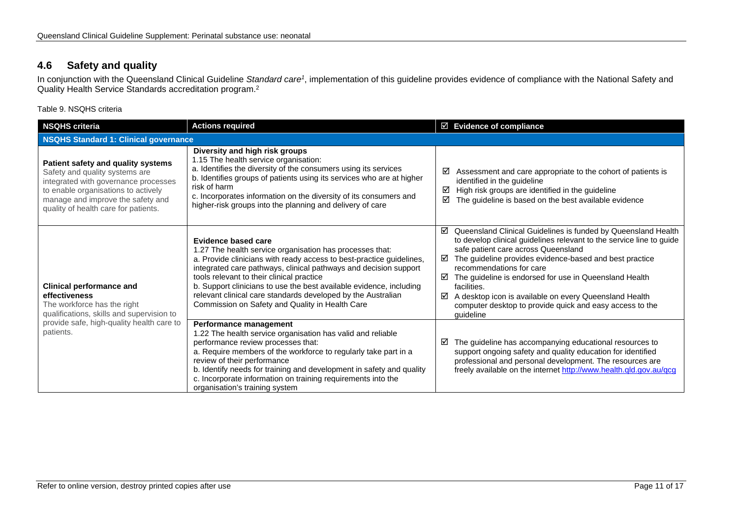## **4.6 Safety and quality**

In conjunction with the Queensland Clinical Guideline *Standard care1*, implementation of this guideline provides evidence of compliance with the National Safety and Quality Health Service Standards accreditation program.2

Table 9. NSQHS criteria

<span id="page-10-1"></span><span id="page-10-0"></span>

| <b>NSQHS criteria</b>                                                                                                                                                                                                            | <b>Actions required</b>                                                                                                                                                                                                                                                                                                                                                                                                                                            | $\boxtimes$ Evidence of compliance                                                                                                                                                                                                                                                                                                                                                                                                                                                               |  |
|----------------------------------------------------------------------------------------------------------------------------------------------------------------------------------------------------------------------------------|--------------------------------------------------------------------------------------------------------------------------------------------------------------------------------------------------------------------------------------------------------------------------------------------------------------------------------------------------------------------------------------------------------------------------------------------------------------------|--------------------------------------------------------------------------------------------------------------------------------------------------------------------------------------------------------------------------------------------------------------------------------------------------------------------------------------------------------------------------------------------------------------------------------------------------------------------------------------------------|--|
| <b>NSQHS Standard 1: Clinical governance</b>                                                                                                                                                                                     |                                                                                                                                                                                                                                                                                                                                                                                                                                                                    |                                                                                                                                                                                                                                                                                                                                                                                                                                                                                                  |  |
| Patient safety and quality systems<br>Safety and quality systems are<br>integrated with governance processes<br>to enable organisations to actively<br>manage and improve the safety and<br>quality of health care for patients. | Diversity and high risk groups<br>1.15 The health service organisation:<br>a. Identifies the diversity of the consumers using its services<br>b. Identifies groups of patients using its services who are at higher<br>risk of harm<br>c. Incorporates information on the diversity of its consumers and<br>higher-risk groups into the planning and delivery of care                                                                                              | Assessment and care appropriate to the cohort of patients is<br>☑<br>identified in the guideline<br>High risk groups are identified in the guideline<br>☑<br>☑<br>The guideline is based on the best available evidence                                                                                                                                                                                                                                                                          |  |
| <b>Clinical performance and</b><br>effectiveness<br>The workforce has the right<br>qualifications, skills and supervision to<br>provide safe, high-quality health care to<br>patients.                                           | Evidence based care<br>1.27 The health service organisation has processes that:<br>a. Provide clinicians with ready access to best-practice guidelines,<br>integrated care pathways, clinical pathways and decision support<br>tools relevant to their clinical practice<br>b. Support clinicians to use the best available evidence, including<br>relevant clinical care standards developed by the Australian<br>Commission on Safety and Quality in Health Care | ☑ Queensland Clinical Guidelines is funded by Queensland Health<br>to develop clinical guidelines relevant to the service line to guide<br>safe patient care across Queensland<br>The guideline provides evidence-based and best practice<br>☑<br>recommendations for care<br>☑<br>The guideline is endorsed for use in Queensland Health<br>facilities.<br>A desktop icon is available on every Queensland Health<br>☑<br>computer desktop to provide quick and easy access to the<br>quideline |  |
|                                                                                                                                                                                                                                  | Performance management<br>1.22 The health service organisation has valid and reliable<br>performance review processes that:<br>a. Require members of the workforce to regularly take part in a<br>review of their performance<br>b. Identify needs for training and development in safety and quality<br>c. Incorporate information on training requirements into the<br>organisation's training system                                                            | The guideline has accompanying educational resources to<br>☑<br>support ongoing safety and quality education for identified<br>professional and personal development. The resources are<br>freely available on the internet http://www.health.qld.gov.au/qcg                                                                                                                                                                                                                                     |  |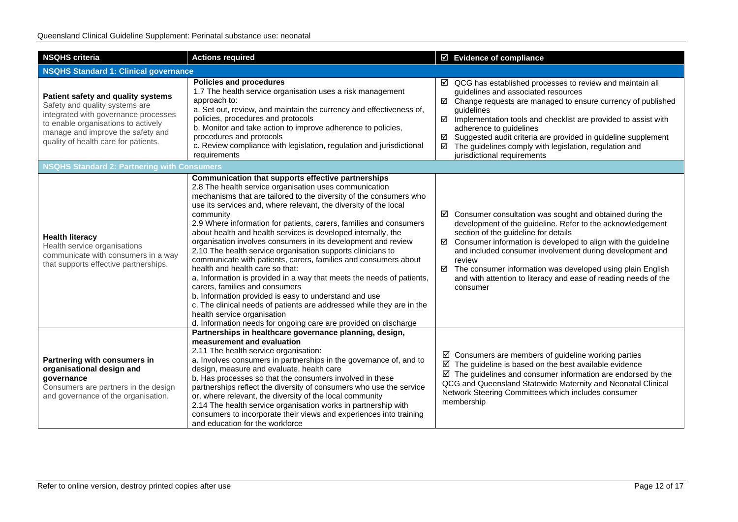| <b>NSQHS criteria</b>                                                                                                                                                                                                            | <b>Actions required</b>                                                                                                                                                                                                                                                                                                                                                                                                                                                                                                                                                                                                                                                                                                                                                                                                                                                                                                                                                                         | $\boxtimes$ Evidence of compliance                                                                                                                                                                                                                                                                                                                                                                                                                                                |  |
|----------------------------------------------------------------------------------------------------------------------------------------------------------------------------------------------------------------------------------|-------------------------------------------------------------------------------------------------------------------------------------------------------------------------------------------------------------------------------------------------------------------------------------------------------------------------------------------------------------------------------------------------------------------------------------------------------------------------------------------------------------------------------------------------------------------------------------------------------------------------------------------------------------------------------------------------------------------------------------------------------------------------------------------------------------------------------------------------------------------------------------------------------------------------------------------------------------------------------------------------|-----------------------------------------------------------------------------------------------------------------------------------------------------------------------------------------------------------------------------------------------------------------------------------------------------------------------------------------------------------------------------------------------------------------------------------------------------------------------------------|--|
| <b>NSQHS Standard 1: Clinical governance</b>                                                                                                                                                                                     |                                                                                                                                                                                                                                                                                                                                                                                                                                                                                                                                                                                                                                                                                                                                                                                                                                                                                                                                                                                                 |                                                                                                                                                                                                                                                                                                                                                                                                                                                                                   |  |
| Patient safety and quality systems<br>Safety and quality systems are<br>integrated with governance processes<br>to enable organisations to actively<br>manage and improve the safety and<br>quality of health care for patients. | <b>Policies and procedures</b><br>1.7 The health service organisation uses a risk management<br>approach to:<br>a. Set out, review, and maintain the currency and effectiveness of,<br>policies, procedures and protocols<br>b. Monitor and take action to improve adherence to policies,<br>procedures and protocols<br>c. Review compliance with legislation, regulation and jurisdictional<br>requirements                                                                                                                                                                                                                                                                                                                                                                                                                                                                                                                                                                                   | $\boxtimes$ QCG has established processes to review and maintain all<br>guidelines and associated resources<br>Change requests are managed to ensure currency of published<br>☑<br>guidelines<br>$\triangledown$<br>Implementation tools and checklist are provided to assist with<br>adherence to guidelines<br>Suggested audit criteria are provided in guideline supplement<br>☑<br>The guidelines comply with legislation, regulation and<br>☑<br>jurisdictional requirements |  |
| <b>NSQHS Standard 2: Partnering with Consumers</b>                                                                                                                                                                               |                                                                                                                                                                                                                                                                                                                                                                                                                                                                                                                                                                                                                                                                                                                                                                                                                                                                                                                                                                                                 |                                                                                                                                                                                                                                                                                                                                                                                                                                                                                   |  |
| <b>Health literacy</b><br>Health service organisations<br>communicate with consumers in a way<br>that supports effective partnerships.                                                                                           | Communication that supports effective partnerships<br>2.8 The health service organisation uses communication<br>mechanisms that are tailored to the diversity of the consumers who<br>use its services and, where relevant, the diversity of the local<br>community<br>2.9 Where information for patients, carers, families and consumers<br>about health and health services is developed internally, the<br>organisation involves consumers in its development and review<br>2.10 The health service organisation supports clinicians to<br>communicate with patients, carers, families and consumers about<br>health and health care so that:<br>a. Information is provided in a way that meets the needs of patients,<br>carers, families and consumers<br>b. Information provided is easy to understand and use<br>c. The clinical needs of patients are addressed while they are in the<br>health service organisation<br>d. Information needs for ongoing care are provided on discharge | Consumer consultation was sought and obtained during the<br>☑<br>development of the guideline. Refer to the acknowledgement<br>section of the guideline for details<br>Consumer information is developed to align with the guideline<br>☑<br>and included consumer involvement during development and<br>review<br>☑ The consumer information was developed using plain English<br>and with attention to literacy and ease of reading needs of the<br>consumer                    |  |
| Partnering with consumers in<br>organisational design and<br>governance<br>Consumers are partners in the design<br>and governance of the organisation.                                                                           | Partnerships in healthcare governance planning, design,<br>measurement and evaluation<br>2.11 The health service organisation:<br>a. Involves consumers in partnerships in the governance of, and to<br>design, measure and evaluate, health care<br>b. Has processes so that the consumers involved in these<br>partnerships reflect the diversity of consumers who use the service<br>or, where relevant, the diversity of the local community<br>2.14 The health service organisation works in partnership with<br>consumers to incorporate their views and experiences into training<br>and education for the workforce                                                                                                                                                                                                                                                                                                                                                                     | $\boxtimes$ Consumers are members of guideline working parties<br>$\boxtimes$ The guideline is based on the best available evidence<br>$\boxtimes$ The guidelines and consumer information are endorsed by the<br>QCG and Queensland Statewide Maternity and Neonatal Clinical<br>Network Steering Committees which includes consumer<br>membership                                                                                                                               |  |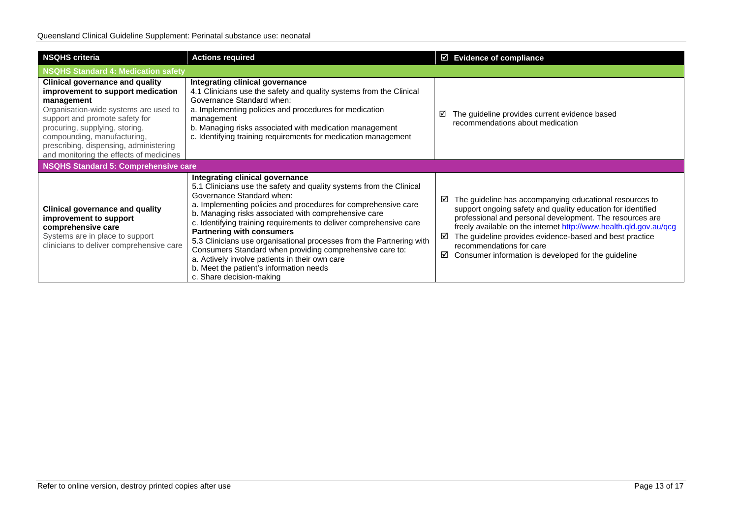| <b>NSQHS criteria</b>                                                                                                                                                                                                                                                                                                      | <b>Actions required</b>                                                                                                                                                                                                                                                                                                                                                                                                                                                                                                                                                                                                              | $\boxtimes$ Evidence of compliance                                                                                                                                                                                                                                                                                                                                                                                   |
|----------------------------------------------------------------------------------------------------------------------------------------------------------------------------------------------------------------------------------------------------------------------------------------------------------------------------|--------------------------------------------------------------------------------------------------------------------------------------------------------------------------------------------------------------------------------------------------------------------------------------------------------------------------------------------------------------------------------------------------------------------------------------------------------------------------------------------------------------------------------------------------------------------------------------------------------------------------------------|----------------------------------------------------------------------------------------------------------------------------------------------------------------------------------------------------------------------------------------------------------------------------------------------------------------------------------------------------------------------------------------------------------------------|
| NSQHS Standard 4: Medication safety                                                                                                                                                                                                                                                                                        |                                                                                                                                                                                                                                                                                                                                                                                                                                                                                                                                                                                                                                      |                                                                                                                                                                                                                                                                                                                                                                                                                      |
| <b>Clinical governance and quality</b><br>improvement to support medication<br>management<br>Organisation-wide systems are used to<br>support and promote safety for<br>procuring, supplying, storing,<br>compounding, manufacturing,<br>prescribing, dispensing, administering<br>and monitoring the effects of medicines | Integrating clinical governance<br>4.1 Clinicians use the safety and quality systems from the Clinical<br>Governance Standard when:<br>a. Implementing policies and procedures for medication<br>management<br>b. Managing risks associated with medication management<br>c. Identifying training requirements for medication management                                                                                                                                                                                                                                                                                             | The guideline provides current evidence based<br>⊽<br>recommendations about medication                                                                                                                                                                                                                                                                                                                               |
| NSQHS Standard 5: Comprehensive care                                                                                                                                                                                                                                                                                       |                                                                                                                                                                                                                                                                                                                                                                                                                                                                                                                                                                                                                                      |                                                                                                                                                                                                                                                                                                                                                                                                                      |
| <b>Clinical governance and quality</b><br>improvement to support<br>comprehensive care<br>Systems are in place to support<br>clinicians to deliver comprehensive care                                                                                                                                                      | Integrating clinical governance<br>5.1 Clinicians use the safety and quality systems from the Clinical<br>Governance Standard when:<br>a. Implementing policies and procedures for comprehensive care<br>b. Managing risks associated with comprehensive care<br>c. Identifying training requirements to deliver comprehensive care<br><b>Partnering with consumers</b><br>5.3 Clinicians use organisational processes from the Partnering with<br>Consumers Standard when providing comprehensive care to:<br>a. Actively involve patients in their own care<br>b. Meet the patient's information needs<br>c. Share decision-making | The guideline has accompanying educational resources to<br>☑<br>support ongoing safety and quality education for identified<br>professional and personal development. The resources are<br>freely available on the internet http://www.health.qld.gov.au/qcg<br>The guideline provides evidence-based and best practice<br>☑<br>recommendations for care<br>Consumer information is developed for the guideline<br>☑ |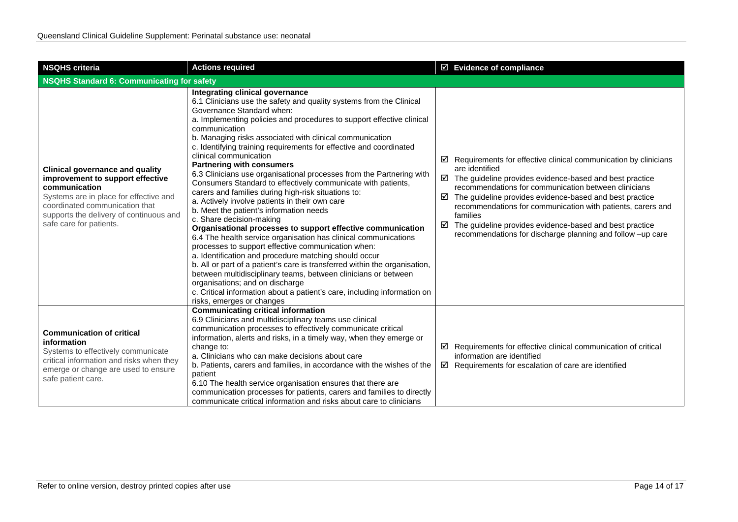| <b>NSQHS criteria</b>                                                                                                                                                                                                                         | <b>Actions required</b>                                                                                                                                                                                                                                                                                                                                                                                                                                                                                                                                                                                                                                                                                                                                                                                                                                                                                                                                                                                                                                                                                                                                                                                                                                                                            | $\boxtimes$ Evidence of compliance                                                                                                                                                                                                                                                                                                                                                                                                                                                             |  |
|-----------------------------------------------------------------------------------------------------------------------------------------------------------------------------------------------------------------------------------------------|----------------------------------------------------------------------------------------------------------------------------------------------------------------------------------------------------------------------------------------------------------------------------------------------------------------------------------------------------------------------------------------------------------------------------------------------------------------------------------------------------------------------------------------------------------------------------------------------------------------------------------------------------------------------------------------------------------------------------------------------------------------------------------------------------------------------------------------------------------------------------------------------------------------------------------------------------------------------------------------------------------------------------------------------------------------------------------------------------------------------------------------------------------------------------------------------------------------------------------------------------------------------------------------------------|------------------------------------------------------------------------------------------------------------------------------------------------------------------------------------------------------------------------------------------------------------------------------------------------------------------------------------------------------------------------------------------------------------------------------------------------------------------------------------------------|--|
| <b>NSQHS Standard 6: Communicating for safety</b>                                                                                                                                                                                             |                                                                                                                                                                                                                                                                                                                                                                                                                                                                                                                                                                                                                                                                                                                                                                                                                                                                                                                                                                                                                                                                                                                                                                                                                                                                                                    |                                                                                                                                                                                                                                                                                                                                                                                                                                                                                                |  |
| <b>Clinical governance and quality</b><br>improvement to support effective<br>communication<br>Systems are in place for effective and<br>coordinated communication that<br>supports the delivery of continuous and<br>safe care for patients. | Integrating clinical governance<br>6.1 Clinicians use the safety and quality systems from the Clinical<br>Governance Standard when:<br>a. Implementing policies and procedures to support effective clinical<br>communication<br>b. Managing risks associated with clinical communication<br>c. Identifying training requirements for effective and coordinated<br>clinical communication<br><b>Partnering with consumers</b><br>6.3 Clinicians use organisational processes from the Partnering with<br>Consumers Standard to effectively communicate with patients,<br>carers and families during high-risk situations to:<br>a. Actively involve patients in their own care<br>b. Meet the patient's information needs<br>c. Share decision-making<br>Organisational processes to support effective communication<br>6.4 The health service organisation has clinical communications<br>processes to support effective communication when:<br>a. Identification and procedure matching should occur<br>b. All or part of a patient's care is transferred within the organisation,<br>between multidisciplinary teams, between clinicians or between<br>organisations; and on discharge<br>c. Critical information about a patient's care, including information on<br>risks, emerges or changes | ☑<br>Requirements for effective clinical communication by clinicians<br>are identified<br>$\boxtimes$ The guideline provides evidence-based and best practice<br>recommendations for communication between clinicians<br>The guideline provides evidence-based and best practice<br>☑<br>recommendations for communication with patients, carers and<br>families<br>☑<br>The guideline provides evidence-based and best practice<br>recommendations for discharge planning and follow -up care |  |
| <b>Communication of critical</b><br>information<br>Systems to effectively communicate<br>critical information and risks when they<br>emerge or change are used to ensure<br>safe patient care.                                                | <b>Communicating critical information</b><br>6.9 Clinicians and multidisciplinary teams use clinical<br>communication processes to effectively communicate critical<br>information, alerts and risks, in a timely way, when they emerge or<br>change to:<br>a. Clinicians who can make decisions about care<br>b. Patients, carers and families, in accordance with the wishes of the<br>patient<br>6.10 The health service organisation ensures that there are<br>communication processes for patients, carers and families to directly<br>communicate critical information and risks about care to clinicians                                                                                                                                                                                                                                                                                                                                                                                                                                                                                                                                                                                                                                                                                    | ☑<br>Requirements for effective clinical communication of critical<br>information are identified<br>$\boxtimes$ Requirements for escalation of care are identified                                                                                                                                                                                                                                                                                                                             |  |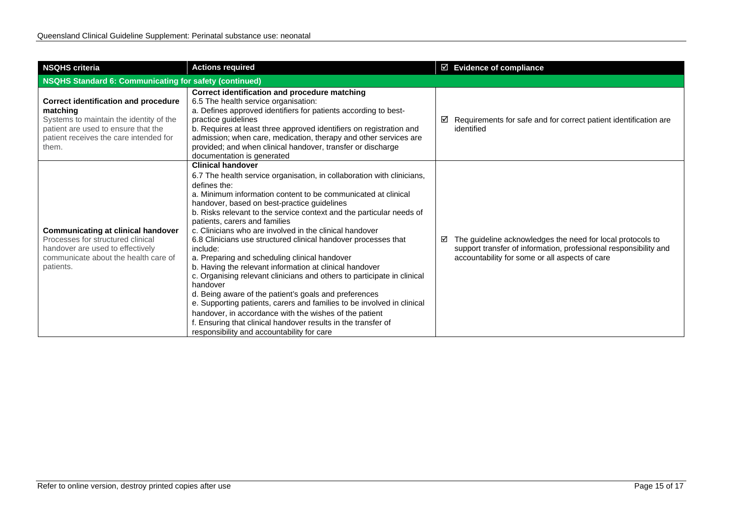| <b>NSQHS criteria</b>                                                                                                                                                                        | <b>Actions required</b>                                                                                                                                                                                                                                                                                                                                                                                                                                                                                                                                                                                                                                                                                                                                                                                                                                                                                                                                                                             | $\boxtimes$ Evidence of compliance                                                                                                                                                    |  |
|----------------------------------------------------------------------------------------------------------------------------------------------------------------------------------------------|-----------------------------------------------------------------------------------------------------------------------------------------------------------------------------------------------------------------------------------------------------------------------------------------------------------------------------------------------------------------------------------------------------------------------------------------------------------------------------------------------------------------------------------------------------------------------------------------------------------------------------------------------------------------------------------------------------------------------------------------------------------------------------------------------------------------------------------------------------------------------------------------------------------------------------------------------------------------------------------------------------|---------------------------------------------------------------------------------------------------------------------------------------------------------------------------------------|--|
| NSQHS Standard 6: Communicating for safety (continued)                                                                                                                                       |                                                                                                                                                                                                                                                                                                                                                                                                                                                                                                                                                                                                                                                                                                                                                                                                                                                                                                                                                                                                     |                                                                                                                                                                                       |  |
| <b>Correct identification and procedure</b><br>matching<br>Systems to maintain the identity of the<br>patient are used to ensure that the<br>patient receives the care intended for<br>them. | Correct identification and procedure matching<br>6.5 The health service organisation:<br>a. Defines approved identifiers for patients according to best-<br>practice guidelines<br>b. Requires at least three approved identifiers on registration and<br>admission; when care, medication, therapy and other services are<br>provided; and when clinical handover, transfer or discharge<br>documentation is generated                                                                                                                                                                                                                                                                                                                                                                                                                                                                                                                                                                             | Requirements for safe and for correct patient identification are<br>☑<br>identified                                                                                                   |  |
| <b>Communicating at clinical handover</b><br>Processes for structured clinical<br>handover are used to effectively<br>communicate about the health care of<br>patients.                      | <b>Clinical handover</b><br>6.7 The health service organisation, in collaboration with clinicians,<br>defines the:<br>a. Minimum information content to be communicated at clinical<br>handover, based on best-practice guidelines<br>b. Risks relevant to the service context and the particular needs of<br>patients, carers and families<br>c. Clinicians who are involved in the clinical handover<br>6.8 Clinicians use structured clinical handover processes that<br>include:<br>a. Preparing and scheduling clinical handover<br>b. Having the relevant information at clinical handover<br>c. Organising relevant clinicians and others to participate in clinical<br>handover<br>d. Being aware of the patient's goals and preferences<br>e. Supporting patients, carers and families to be involved in clinical<br>handover, in accordance with the wishes of the patient<br>f. Ensuring that clinical handover results in the transfer of<br>responsibility and accountability for care | The guideline acknowledges the need for local protocols to<br>☑<br>support transfer of information, professional responsibility and<br>accountability for some or all aspects of care |  |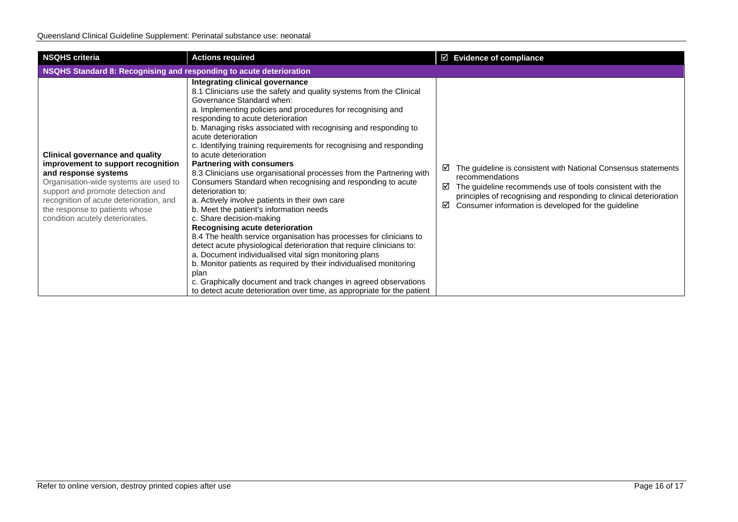| <b>NSQHS criteria</b>                                                                                                                                                                                                                                                                              | <b>Actions required</b>                                                                                                                                                                                                                                                                                                                                                                                                                                                                                                                                                                                                                                                                                                                                                                                                                                                                                                                                                                                                                                                                                                                                                                                                              | $\boxtimes$ Evidence of compliance                                                                                                                                                                                                                                                         |  |
|----------------------------------------------------------------------------------------------------------------------------------------------------------------------------------------------------------------------------------------------------------------------------------------------------|--------------------------------------------------------------------------------------------------------------------------------------------------------------------------------------------------------------------------------------------------------------------------------------------------------------------------------------------------------------------------------------------------------------------------------------------------------------------------------------------------------------------------------------------------------------------------------------------------------------------------------------------------------------------------------------------------------------------------------------------------------------------------------------------------------------------------------------------------------------------------------------------------------------------------------------------------------------------------------------------------------------------------------------------------------------------------------------------------------------------------------------------------------------------------------------------------------------------------------------|--------------------------------------------------------------------------------------------------------------------------------------------------------------------------------------------------------------------------------------------------------------------------------------------|--|
| NSQHS Standard 8: Recognising and responding to acute deterioration                                                                                                                                                                                                                                |                                                                                                                                                                                                                                                                                                                                                                                                                                                                                                                                                                                                                                                                                                                                                                                                                                                                                                                                                                                                                                                                                                                                                                                                                                      |                                                                                                                                                                                                                                                                                            |  |
| <b>Clinical governance and quality</b><br>improvement to support recognition<br>and response systems<br>Organisation-wide systems are used to<br>support and promote detection and<br>recognition of acute deterioration, and<br>the response to patients whose<br>condition acutely deteriorates. | Integrating clinical governance<br>8.1 Clinicians use the safety and quality systems from the Clinical<br>Governance Standard when:<br>a. Implementing policies and procedures for recognising and<br>responding to acute deterioration<br>b. Managing risks associated with recognising and responding to<br>acute deterioration<br>c. Identifying training requirements for recognising and responding<br>to acute deterioration<br><b>Partnering with consumers</b><br>8.3 Clinicians use organisational processes from the Partnering with<br>Consumers Standard when recognising and responding to acute<br>deterioration to:<br>a. Actively involve patients in their own care<br>b. Meet the patient's information needs<br>c. Share decision-making<br>Recognising acute deterioration<br>8.4 The health service organisation has processes for clinicians to<br>detect acute physiological deterioration that require clinicians to:<br>a. Document individualised vital sign monitoring plans<br>b. Monitor patients as required by their individualised monitoring<br>plan<br>c. Graphically document and track changes in agreed observations<br>to detect acute deterioration over time, as appropriate for the patient | The guideline is consistent with National Consensus statements<br>⊻<br>recommendations<br>☑<br>The guideline recommends use of tools consistent with the<br>principles of recognising and responding to clinical deterioration<br>Consumer information is developed for the guideline<br>☑ |  |